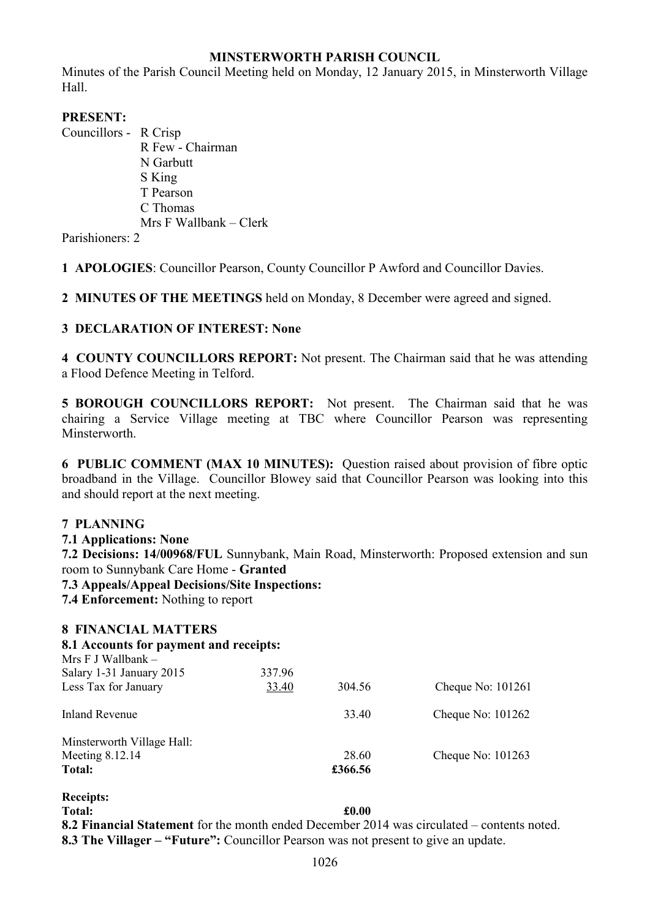### **MINSTERWORTH PARISH COUNCIL**

Minutes of the Parish Council Meeting held on Monday, 12 January 2015, in Minsterworth Village Hall.

## **PRESENT:**

Councillors - R Crisp

R Few - Chairman N Garbutt S King T Pearson C Thomas Mrs F Wallbank – Clerk

Parishioners: 2

**1 APOLOGIES**: Councillor Pearson, County Councillor P Awford and Councillor Davies.

**2 MINUTES OF THE MEETINGS** held on Monday, 8 December were agreed and signed.

### **3 DECLARATION OF INTEREST: None**

**4 COUNTY COUNCILLORS REPORT:** Not present. The Chairman said that he was attending a Flood Defence Meeting in Telford.

**5 BOROUGH COUNCILLORS REPORT:** Not present. The Chairman said that he was chairing a Service Village meeting at TBC where Councillor Pearson was representing Minsterworth.

**6 PUBLIC COMMENT (MAX 10 MINUTES):** Question raised about provision of fibre optic broadband in the Village. Councillor Blowey said that Councillor Pearson was looking into this and should report at the next meeting.

### **7 PLANNING**

**7.1 Applications: None** 

**7.2 Decisions: 14/00968/FUL** Sunnybank, Main Road, Minsterworth: Proposed extension and sun room to Sunnybank Care Home - **Granted** 

- **7.3 Appeals/Appeal Decisions/Site Inspections:**
- **7.4 Enforcement:** Nothing to report

| <b>8 FINANCIAL MATTERS</b><br>8.1 Accounts for payment and receipts: |                       |                |                                                                                  |
|----------------------------------------------------------------------|-----------------------|----------------|----------------------------------------------------------------------------------|
|                                                                      |                       |                |                                                                                  |
| Salary 1-31 January 2015                                             | 337.96                |                |                                                                                  |
| Less Tax for January                                                 | 33.40                 | 304.56         | Cheque No: 101261                                                                |
| <b>Inland Revenue</b>                                                |                       | 33.40          | Cheque No: $101262$                                                              |
| Minsterworth Village Hall:                                           |                       |                |                                                                                  |
| Meeting 8.12.14                                                      |                       | 28.60          | Cheque No: 101263                                                                |
| Total:                                                               |                       | £366.56        |                                                                                  |
| <b>Receipts:</b>                                                     |                       |                |                                                                                  |
| Total:                                                               |                       | £0.00          |                                                                                  |
| $\mathbf{A}$ $\mathbf{C}$                                            | $\sqrt{1}$ $\sqrt{1}$ | $1 \quad 2011$ | $\mathbf{f}$ and $\mathbf{f}$ and $\mathbf{f}$ and $\mathbf{f}$ and $\mathbf{f}$ |

**8.2 Financial Statement** for the month ended December 2014 was circulated – contents noted. **8.3 The Villager – "Future":** Councillor Pearson was not present to give an update.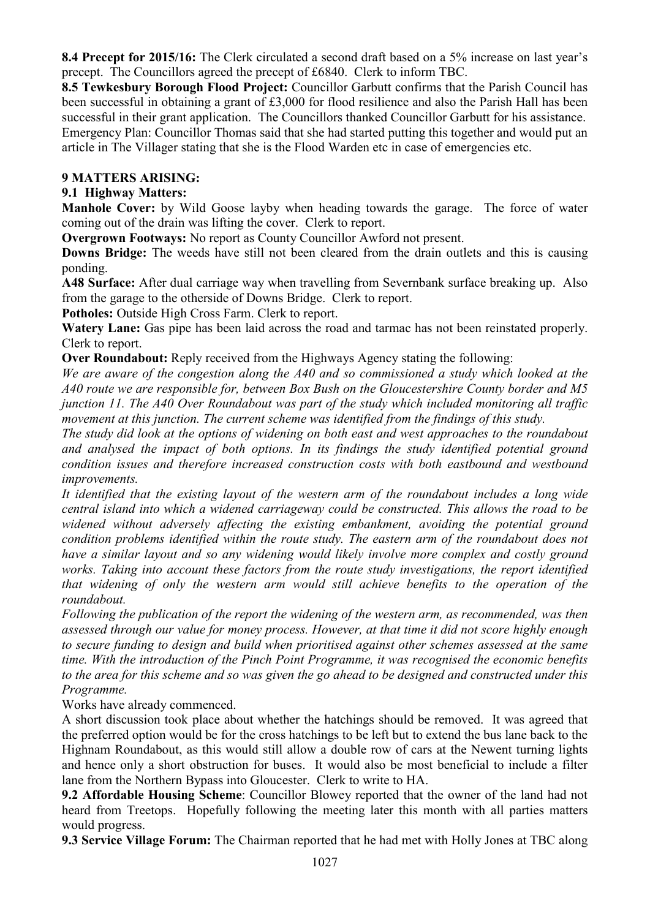**8.4 Precept for 2015/16:** The Clerk circulated a second draft based on a 5% increase on last year's precept. The Councillors agreed the precept of £6840. Clerk to inform TBC.

**8.5 Tewkesbury Borough Flood Project:** Councillor Garbutt confirms that the Parish Council has been successful in obtaining a grant of £3,000 for flood resilience and also the Parish Hall has been successful in their grant application. The Councillors thanked Councillor Garbutt for his assistance. Emergency Plan: Councillor Thomas said that she had started putting this together and would put an article in The Villager stating that she is the Flood Warden etc in case of emergencies etc.

### **9 MATTERS ARISING:**

# **9.1 Highway Matters:**

**Manhole Cover:** by Wild Goose layby when heading towards the garage. The force of water coming out of the drain was lifting the cover. Clerk to report.

**Overgrown Footways:** No report as County Councillor Awford not present.

**Downs Bridge:** The weeds have still not been cleared from the drain outlets and this is causing ponding.

**A48 Surface:** After dual carriage way when travelling from Severnbank surface breaking up. Also from the garage to the otherside of Downs Bridge. Clerk to report.

**Potholes:** Outside High Cross Farm. Clerk to report.

Watery Lane: Gas pipe has been laid across the road and tarmac has not been reinstated properly. Clerk to report.

**Over Roundabout:** Reply received from the Highways Agency stating the following:

*We are aware of the congestion along the A40 and so commissioned a study which looked at the A40 route we are responsible for, between Box Bush on the Gloucestershire County border and M5 junction 11. The A40 Over Roundabout was part of the study which included monitoring all traffic movement at this junction. The current scheme was identified from the findings of this study.* 

*The study did look at the options of widening on both east and west approaches to the roundabout and analysed the impact of both options. In its findings the study identified potential ground condition issues and therefore increased construction costs with both eastbound and westbound improvements.* 

*It identified that the existing layout of the western arm of the roundabout includes a long wide central island into which a widened carriageway could be constructed. This allows the road to be widened without adversely affecting the existing embankment, avoiding the potential ground condition problems identified within the route study. The eastern arm of the roundabout does not have a similar layout and so any widening would likely involve more complex and costly ground works. Taking into account these factors from the route study investigations, the report identified that widening of only the western arm would still achieve benefits to the operation of the roundabout.* 

*Following the publication of the report the widening of the western arm, as recommended, was then assessed through our value for money process. However, at that time it did not score highly enough to secure funding to design and build when prioritised against other schemes assessed at the same time. With the introduction of the Pinch Point Programme, it was recognised the economic benefits to the area for this scheme and so was given the go ahead to be designed and constructed under this Programme.* 

Works have already commenced.

A short discussion took place about whether the hatchings should be removed. It was agreed that the preferred option would be for the cross hatchings to be left but to extend the bus lane back to the Highnam Roundabout, as this would still allow a double row of cars at the Newent turning lights and hence only a short obstruction for buses. It would also be most beneficial to include a filter lane from the Northern Bypass into Gloucester. Clerk to write to HA.

**9.2 Affordable Housing Scheme**: Councillor Blowey reported that the owner of the land had not heard from Treetops. Hopefully following the meeting later this month with all parties matters would progress.

**9.3 Service Village Forum:** The Chairman reported that he had met with Holly Jones at TBC along